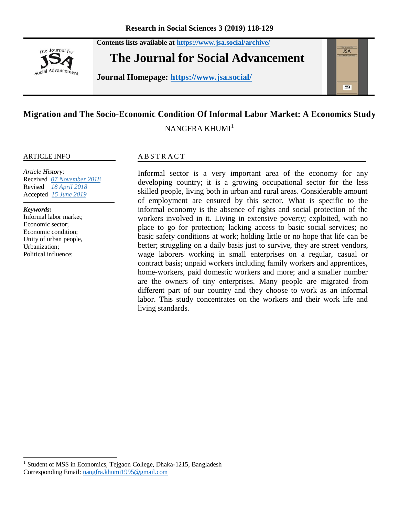The Journal for social Advancement **The Journal for Social Advancement**

**Journal Homepage: <https://www.jsa.social/>**

**Contents lists available at <https://www.jsa.social/archive/>**

# **Migration and The Socio-Economic Condition Of Informal Labor Market: A Economics Study**

NANGFRA KHUMI<sup>1</sup>

#### ARTICLE INFO

*Article History:*  Received *07 November 2018* Revised *18 April 2018* Accepted *15 June 2019*

#### *Keywords:*

 $\overline{\phantom{a}}$ 

Informal labor market; Economic sector; Economic condition; Unity of urban people, Urbanization; Political influence;

#### **ABSTRACT**

Informal sector is a very important area of the economy for any developing country; it is a growing occupational sector for the less skilled people, living both in urban and rural areas. Considerable amount of employment are ensured by this sector. What is specific to the informal economy is the absence of rights and social protection of the workers involved in it. Living in extensive poverty; exploited, with no place to go for protection; lacking access to basic social services; no basic safety conditions at work; holding little or no hope that life can be better; struggling on a daily basis just to survive, they are street vendors, wage laborers working in small enterprises on a regular, casual or contract basis; unpaid workers including family workers and apprentices, home-workers, paid domestic workers and more; and a smaller number are the owners of tiny enterprises. Many people are migrated from different part of our country and they choose to work as an informal labor. This study concentrates on the workers and their work life and living standards.





<sup>&</sup>lt;sup>1</sup> Student of MSS in Economics, Tejgaon College, Dhaka-1215, Bangladesh Corresponding Email: [nangfra.khumi1995@gmail.com](mailto:nangfra.khumi1995@gmail.com)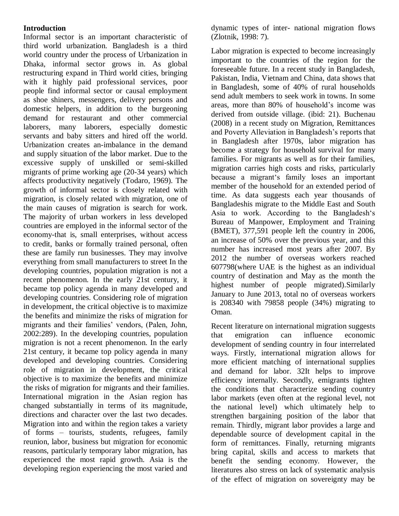## **Introduction**

Informal sector is an important characteristic of third world urbanization. Bangladesh is a third world country under the process of Urbanization in Dhaka, informal sector grows in. As global restructuring expand in Third world cities, bringing with it highly paid professional services, poor people find informal sector or causal employment as shoe shiners, messengers, delivery persons and domestic helpers, in addition to the burgeoning demand for restaurant and other commercial laborers, many laborers, especially domestic servants and baby sitters and hired off the world. Urbanization creates an-imbalance in the demand and supply situation of the labor market. Due to the excessive supply of unskilled or semi-skilled migrants of prime working age (20-34 years) which affects productivity negatively (Todaro, 1969). The growth of informal sector is closely related with migration, is closely related with migration, one of the main causes of migration is search for work. The majority of urban workers in less developed countries are employed in the informal sector of the economy-that is, small enterprises, without access to credit, banks or formally trained personal, often these are family run businesses. They may involve everything from small manufacturers to street In the developing countries, population migration is not a recent phenomenon. In the early 21st century, it became top policy agenda in many developed and developing countries. Considering role of migration in development, the critical objective is to maximize the benefits and minimize the risks of migration for migrants and their families' vendors, (Palen, John, 2002:289). In the developing countries, population migration is not a recent phenomenon. In the early 21st century, it became top policy agenda in many developed and developing countries. Considering role of migration in development, the critical objective is to maximize the benefits and minimize the risks of migration for migrants and their families. International migration in the Asian region has changed substantially in terms of its magnitude, directions and character over the last two decades. Migration into and within the region takes a variety of forms – tourists, students, refugees, family reunion, labor, business but migration for economic reasons, particularly temporary labor migration, has experienced the most rapid growth. Asia is the developing region experiencing the most varied and

dynamic types of inter- national migration flows (Zlotnik, 1998: 7).

Labor migration is expected to become increasingly important to the countries of the region for the foreseeable future. In a recent study in Bangladesh, Pakistan, India, Vietnam and China, data shows that in Bangladesh, some of 40% of rural households send adult members to seek work in towns. In some areas, more than 80% of household's income was derived from outside village. (ibid: 21). Buchenau (2008) in a recent study on Migration, Remittances and Poverty Alleviation in Bangladesh's reports that in Bangladesh after 1970s, labor migration has become a strategy for household survival for many families. For migrants as well as for their families, migration carries high costs and risks, particularly because a migrant's family loses an important member of the household for an extended period of time. As data suggests each year thousands of Bangladeshis migrate to the Middle East and South Asia to work. According to the Bangladesh's Bureau of Manpower, Employment and Training (BMET), 377,591 people left the country in 2006, an increase of 50% over the previous year, and this number has increased most years after 2007. By 2012 the number of overseas workers reached 607798(where UAE is the highest as an individual country of destination and May as the month the highest number of people migrated).Similarly January to June 2013, total no of overseas workers is 208340 with 79858 people (34%) migrating to Oman.

Recent literature on international migration suggests that emigration can influence economic development of sending country in four interrelated ways. Firstly, international migration allows for more efficient matching of international supplies and demand for labor. 32It helps to improve efficiency internally. Secondly, emigrants tighten the conditions that characterize sending country labor markets (even often at the regional level, not the national level) which ultimately help to strengthen bargaining position of the labor that remain. Thirdly, migrant labor provides a large and dependable source of development capital in the form of remittances. Finally, returning migrants bring capital, skills and access to markets that benefit the sending economy. However, the literatures also stress on lack of systematic analysis of the effect of migration on sovereignty may be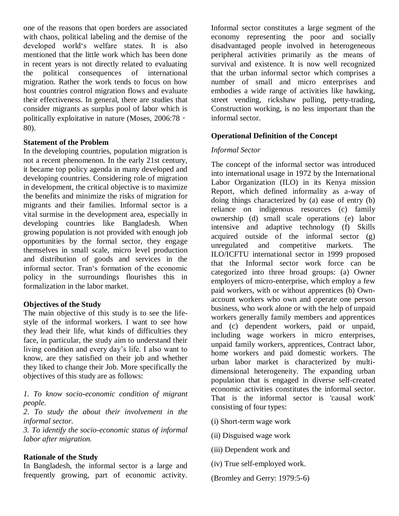one of the reasons that open borders are associated with chaos, political labeling and the demise of the developed world's welfare states. It is also mentioned that the little work which has been done in recent years is not directly related to evaluating the political consequences of international migration. Rather the work tends to focus on how host countries control migration flows and evaluate their effectiveness. In general, there are studies that consider migrants as surplus pool of labor which is politically exploitative in nature (Moses, 2006:78 -80).

#### **Statement of the Problem**

In the developing countries, population migration is not a recent phenomenon. In the early 21st century, it became top policy agenda in many developed and developing countries. Considering role of migration in development, the critical objective is to maximize the benefits and minimize the risks of migration for migrants and their families. Informal sector is a vital surmise in the development area, especially in developing countries like Bangladesh. When growing population is not provided with enough job opportunities by the formal sector, they engage themselves in small scale, micro level production and distribution of goods and services in the informal sector. Tran's formation of the economic policy in the surroundings flourishes this in formalization in the labor market.

#### **Objectives of the Study**

The main objective of this study is to see the lifestyle of the informal workers. I want to see how they lead their life, what kinds of difficulties they face, in particular, the study aim to understand their living condition and every day's life. I also want to know, are they satisfied on their job and whether they liked to change their Job. More specifically the objectives of this study are as follows:

*1. To know socio-economic condition of migrant people.*

*2. To study the about their involvement in the informal sector.* 

*3. To identify the socio-economic status of informal labor after migration.*

#### **Rationale of the Study**

In Bangladesh, the informal sector is a large and frequently growing, part of economic activity.

Informal sector constitutes a large segment of the economy representing the poor and socially disadvantaged people involved in heterogeneous peripheral activities primarily as the means of survival and existence. It is now well recognized that the urban informal sector which comprises a number of small and micro enterprises and embodies a wide range of activities like hawking, street vending, rickshaw pulling, petty-trading, Construction working, is no less important than the informal sector.

## **Operational Definition of the Concept**

## *Informal Sector*

The concept of the informal sector was introduced into international usage in 1972 by the International Labor Organization (ILO) in its Kenya mission Report, which defined informality as a-way of doing things characterized by (a) ease of entry (b) reliance on indigenous resources (c) family ownership (d) small scale operations (e) labor intensive and adaptive technology (f) Skills acquired outside of the informal sector (g) unregulated and competitive markets. The ILO/ICFTU international sector in 1999 proposed that the Informal sector work force can be categorized into three broad groups: (a) Owner employers of micro-enterprise, which employ a few paid workers, with or without apprentices (b) Ownaccount workers who own and operate one person business, who work alone or with the help of unpaid workers generally family members and apprentices and (c) dependent workers, paid or unpaid, including wage workers in micro enterprises, unpaid family workers, apprentices, Contract labor, home workers and paid domestic workers. The urban labor market is characterized by multidimensional heterogeneity. The expanding urban population that is engaged in diverse self-created economic activities constitutes the informal sector. That is the informal sector is 'causal work' consisting of four types:

- (i) Short-term wage work
- (ii) Disguised wage work
- (iii) Dependent work and
- (iv) True self-employed work.
- (Bromley and Gerry: 1979:5-6)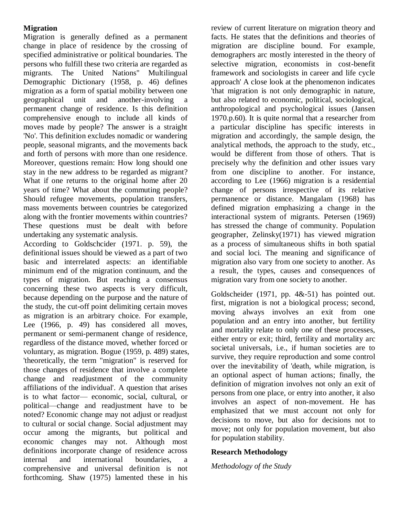## **Migration**

Migration is generally defined as a permanent change in place of residence by the crossing of specified administrative or political boundaries. The persons who fulfill these two criteria are regarded as migrants. The United Nations" Multilingual Demographic Dictionary (1958, p. 46) defines migration as a form of spatial mobility between one geographical unit and another-involving a permanent change of residence. Is this definition comprehensive enough to include all kinds of moves made by people? The answer is a straight 'No'. This definition excludes nomadic or wandering people, seasonal migrants, and the movements back and forth of persons with more than one residence. Moreover, questions remain: How long should one stay in the new address to be regarded as migrant? What if one returns to the original home after 20 years of time? What about the commuting people? Should refugee movements, population transfers, mass movements between countries be categorized along with the frontier movements within countries? These questions must be dealt with before undertaking any systematic analysis.

According to Goldschcider (1971. p. 59), the definitional issues should be viewed as a part of two basic and interrelated aspects: an identifiable minimum end of the migration continuum, and the types of migration. But reaching a consensus concerning these two aspects is very difficult, because depending on the purpose and the nature of the study, the cut-off point delimiting certain moves as migration is an arbitrary choice. For example, Lee (1966, p. 49) has considered all moves, permanent or semi-permanent change of residence, regardless of the distance moved, whether forced or voluntary, as migration. Bogue (1959, p. 489) states, 'theoretically, the term "migration" is reserved for those changes of residence that involve a complete change and readjustment of the community affiliations of the individual'. A question that arises is to what factor— economic, social, cultural, or political—change and readjustment have to be noted? Economic change may not adjust or readjust to cultural or social change. Social adjustment may occur among the migrants, but political and economic changes may not. Although most definitions incorporate change of residence across internal and international boundaries, a comprehensive and universal definition is not forthcoming. Shaw (1975) lamented these in his

review of current literature on migration theory and facts. He states that the definitions and theories of migration are discipline bound. For example, demographers arc mostly interested in the theory of selective migration, economists in cost-benefit framework and sociologists in career and life cycle approach' A close look at the phenomenon indicates 'that migration is not only demographic in nature, but also related to economic, political, sociological, anthropological and psychological issues (Jansen 1970.p.60). It is quite normal that a researcher from a particular discipline has specific interests in migration and accordingly, the sample design, the analytical methods, the approach to the study, etc., would be different from those of others. That is precisely why the definition and other issues vary from one discipline to another. For instance, according to Lee (1966) migration is a residential change of persons irrespective of its relative permanence or distance. Mangalam (1968) has defined migration emphasizing a change in the interactional system of migrants. Petersen (1969) has stressed the change of community. Population geographer, Zelinsky(1971) has viewed migration as a process of simultaneous shifts in both spatial and social loci. The meaning and significance of migration also vary from one society to another. As a result, the types, causes and consequences of migration vary from one society to another.

Goldscheider (1971, pp. 4&-51) has pointed out. first, migration is not a biological process; second, moving always involves an exit from one population and an entry into another, but fertility and mortality relate to only one of these processes, either entry or exit; third, fertility and mortality arc societal universals, i.e., if human societies are to survive, they require reproduction and some control over the inevitability of 'death, while migration, is an optional aspect of human actions; finally, the definition of migration involves not only an exit of persons from one place, or entry into another, it also involves an aspect of non-movement. He has emphasized that we must account not only for decisions to move, but also for decisions not to move; not only for population movement, but also for population stability.

## **Research Methodology**

*Methodology of the Study*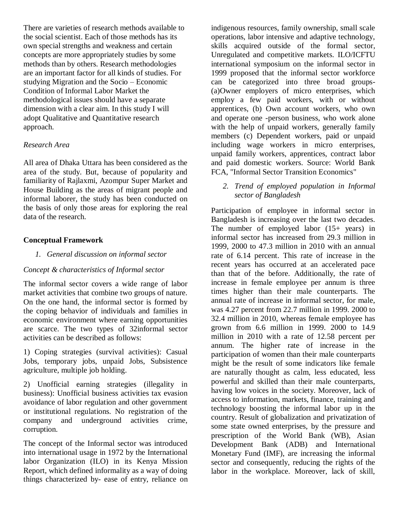There are varieties of research methods available to the social scientist. Each of those methods has its own special strengths and weakness and certain concepts are more appropriately studies by some methods than by others. Research methodologies are an important factor for all kinds of studies. For studying Migration and the Socio – Economic Condition of Informal Labor Market the methodological issues should have a separate dimension with a clear aim. In this study I will adopt Qualitative and Quantitative research approach.

#### *Research Area*

All area of Dhaka Uttara has been considered as the area of the study. But, because of popularity and familiarity of Rajlaxmi, Azompur Super Market and House Building as the areas of migrant people and informal laborer, the study has been conducted on the basis of only those areas for exploring the real data of the research.

#### **Conceptual Framework**

#### *1. General discussion on informal sector*

#### *Concept & characteristics of Informal sector*

The informal sector covers a wide range of labor market activities that combine two groups of nature. On the one hand, the informal sector is formed by the coping behavior of individuals and families in economic environment where earning opportunities are scarce. The two types of 32informal sector activities can be described as follows:

1) Coping strategies (survival activities): Casual Jobs, temporary jobs, unpaid Jobs, Subsistence agriculture, multiple job holding.

2) Unofficial earning strategies (illegality in business): Unofficial business activities tax evasion avoidance of labor regulation and other government or institutional regulations. No registration of the company and underground activities crime, corruption.

The concept of the Informal sector was introduced into international usage in 1972 by the International labor Organization (ILO) in its Kenya Mission Report, which defined informality as a way of doing things characterized by- ease of entry, reliance on

indigenous resources, family ownership, small scale operations, labor intensive and adaptive technology, skills acquired outside of the formal sector, Unregulated and competitive markets. ILO/ICFTU international symposium on the informal sector in 1999 proposed that the informal sector workforce can be categorized into three broad groups- (a)Owner employers of micro enterprises, which employ a few paid workers, with or without apprentices, (b) Own account workers, who own and operate one -person business, who work alone with the help of unpaid workers, generally family members (c) Dependent workers, paid or unpaid including wage workers in micro enterprises, unpaid family workers, apprentices, contract labor and paid domestic workers. Source: World Bank FCA, "Informal Sector Transition Economics"

*2. Trend of employed population in Informal sector of Bangladesh*

Participation of employee in informal sector in Bangladesh is increasing over the last two decades. The number of employed labor  $(15+)$  years) in informal sector has increased from 29.3 million in 1999, 2000 to 47.3 million in 2010 with an annual rate of 6.14 percent. This rate of increase in the recent years has occurred at an accelerated pace than that of the before. Additionally, the rate of increase in female employee per annum is three times higher than their male counterparts. The annual rate of increase in informal sector, for male, was 4.27 percent from 22.7 million in 1999. 2000 to 32.4 million in 2010, whereas female employee has grown from 6.6 million in 1999. 2000 to 14.9 million in 2010 with a rate of 12.58 percent per annum. The higher rate of increase in the participation of women than their male counterparts might be the result of some indicators like female are naturally thought as calm, less educated, less powerful and skilled than their male counterparts, having low voices in the society. Moreover, lack of access to information, markets, finance, training and technology boosting the informal labor up in the country. Result of globalization and privatization of some state owned enterprises, by the pressure and prescription of the World Bank (WB), Asian Development Bank (ADB) and International Monetary Fund (IMF), are increasing the informal sector and consequently, reducing the rights of the labor in the workplace. Moreover, lack of skill,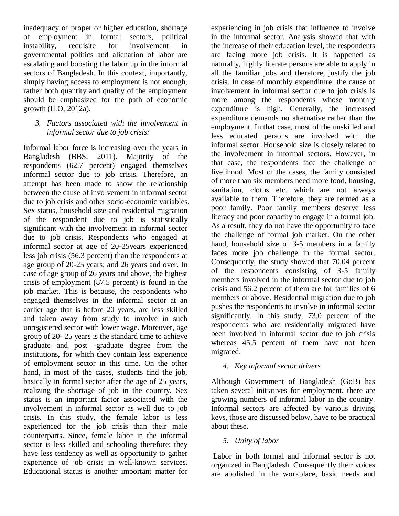inadequacy of proper or higher education, shortage of employment in formal sectors, political instability, requisite for involvement in governmental politics and alienation of labor are escalating and boosting the labor up in the informal sectors of Bangladesh. In this context, importantly, simply having access to employment is not enough, rather both quantity and quality of the employment should be emphasized for the path of economic growth (ILO, 2012a).

*3. Factors associated with the involvement in informal sector due to job crisis:* 

Informal labor force is increasing over the years in Bangladesh (BBS, 2011). Majority of the respondents (62.7 percent) engaged themselves informal sector due to job crisis. Therefore, an attempt has been made to show the relationship between the cause of involvement in informal sector due to job crisis and other socio-economic variables. Sex status, household size and residential migration of the respondent due to job is statistically significant with the involvement in informal sector due to job crisis. Respondents who engaged at informal sector at age of 20-25years experienced less job crisis (56.3 percent) than the respondents at age group of 20-25 years; and 26 years and over. In case of age group of 26 years and above, the highest crisis of employment (87.5 percent) is found in the job market. This is because, the respondents who engaged themselves in the informal sector at an earlier age that is before 20 years, are less skilled and taken away from study to involve in such unregistered sector with lower wage. Moreover, age group of 20- 25 years is the standard time to achieve graduate and post -graduate degree from the institutions, for which they contain less experience of employment sector in this time. On the other hand, in most of the cases, students find the job, basically in formal sector after the age of 25 years, realizing the shortage of job in the country. Sex status is an important factor associated with the involvement in informal sector as well due to job crisis. In this study, the female labor is less experienced for the job crisis than their male counterparts. Since, female labor in the informal sector is less skilled and schooling therefore; they have less tendency as well as opportunity to gather experience of job crisis in well-known services. Educational status is another important matter for

experiencing in job crisis that influence to involve in the informal sector. Analysis showed that with the increase of their education level, the respondents are facing more job crisis. It is happened as naturally, highly literate persons are able to apply in all the familiar jobs and therefore, justify the job crisis. In case of monthly expenditure, the cause of involvement in informal sector due to job crisis is more among the respondents whose monthly expenditure is high. Generally, the increased expenditure demands no alternative rather than the employment. In that case, most of the unskilled and less educated persons are involved with the informal sector. Household size is closely related to the involvement in informal sectors. However, in that case, the respondents face the challenge of livelihood. Most of the cases, the family consisted of more than six members need more food, housing, sanitation, cloths etc. which are not always available to them. Therefore, they are termed as a poor family. Poor family members deserve less literacy and poor capacity to engage in a formal job. As a result, they do not have the opportunity to face the challenge of formal job market. On the other hand, household size of 3-5 members in a family faces more job challenge in the formal sector. Consequently, the study showed that 70.04 percent of the respondents consisting of 3-5 family members involved in the informal sector due to job crisis and 56.2 percent of them are for families of 6 members or above. Residential migration due to job pushes the respondents to involve in informal sector significantly. In this study, 73.0 percent of the respondents who are residentially migrated have been involved in informal sector due to job crisis whereas 45.5 percent of them have not been migrated.

## *4. Key informal sector drivers*

Although Government of Bangladesh (GoB) has taken several initiatives for employment, there are growing numbers of informal labor in the country. Informal sectors are affected by various driving keys, those are discussed below, have to be practical about these.

## *5. Unity of labor*

Labor in both formal and informal sector is not organized in Bangladesh. Consequently their voices are abolished in the workplace, basic needs and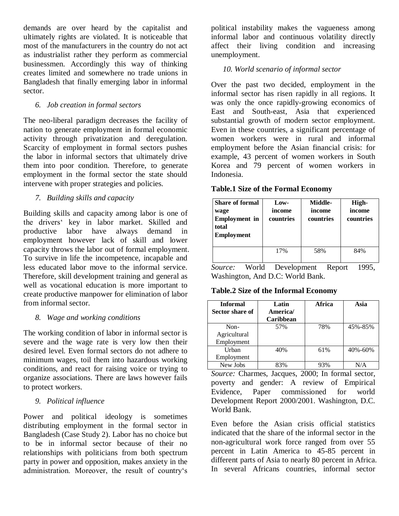demands are over heard by the capitalist and ultimately rights are violated. It is noticeable that most of the manufacturers in the country do not act as industrialist rather they perform as commercial businessmen. Accordingly this way of thinking creates limited and somewhere no trade unions in Bangladesh that finally emerging labor in informal sector.

## *6. Job creation in formal sectors*

The neo-liberal paradigm decreases the facility of nation to generate employment in formal economic activity through privatization and deregulation. Scarcity of employment in formal sectors pushes the labor in informal sectors that ultimately drive them into poor condition. Therefore, to generate employment in the formal sector the state should intervene with proper strategies and policies.

## *7. Building skills and capacity*

Building skills and capacity among labor is one of the drivers' key in labor market. Skilled and productive labor have always demand in employment however lack of skill and lower capacity throws the labor out of formal employment. To survive in life the incompetence, incapable and less educated labor move to the informal service. Therefore, skill development training and general as well as vocational education is more important to create productive manpower for elimination of labor from informal sector.

#### *8. Wage and working conditions*

The working condition of labor in informal sector is severe and the wage rate is very low then their desired level. Even formal sectors do not adhere to minimum wages, toil them into hazardous working conditions, and react for raising voice or trying to organize associations. There are laws however fails to protect workers.

#### *9. Political influence*

Power and political ideology is sometimes distributing employment in the formal sector in Bangladesh (Case Study 2). Labor has no choice but to be in informal sector because of their no relationships with politicians from both spectrum party in power and opposition, makes anxiety in the administration. Moreover, the result of country's

political instability makes the vagueness among informal labor and continuous volatility directly affect their living condition and increasing unemployment.

## *10. World scenario of informal sector*

Over the past two decided, employment in the informal sector has risen rapidly in all regions. It was only the once rapidly-growing economics of East and South-east, Asia that experienced substantial growth of modern sector employment. Even in these countries, a significant percentage of women workers were in rural and informal employment before the Asian financial crisis: for example, 43 percent of women workers in South Korea and 79 percent of women workers in Indonesia.

#### **Table.1 Size of the Formal Economy**

| <b>Share of formal</b><br>wage<br><b>Employment</b> in<br>total<br><b>Employment</b> | Low-<br>income<br>countries | Middle-<br>income<br>countries | High-<br>income<br>countries |
|--------------------------------------------------------------------------------------|-----------------------------|--------------------------------|------------------------------|
|                                                                                      | 17%                         | 58%                            | 84%                          |

*Source:* World Development Report 1995, Washington, And D.C: World Bank.

#### **Table.2 Size of the Informal Economy**

| <b>Informal</b><br>Sector share of | Latin<br>America/<br>Caribbean | <b>Africa</b> | Asia          |
|------------------------------------|--------------------------------|---------------|---------------|
| $Non-$                             | 57%                            | 78%           | 45%-85%       |
| Agricultural                       |                                |               |               |
| Employment                         |                                |               |               |
| Urban                              | 40%                            | 61%           | $40\% - 60\%$ |
| Employment                         |                                |               |               |
| New Jobs                           | 83%                            |               |               |

*Source:* Charmes, Jacques, 2000; In formal sector, poverty and gender: A review of Empirical Evidence, Paper commissioned for world Development Report 2000/2001. Washington, D.C. World Bank.

Even before the Asian crisis official statistics indicated that the share of the informal sector in the non-agricultural work force ranged from over 55 percent in Latin America to 45-85 percent in different parts of Asia to nearly 80 percent in Africa. In several Africans countries, informal sector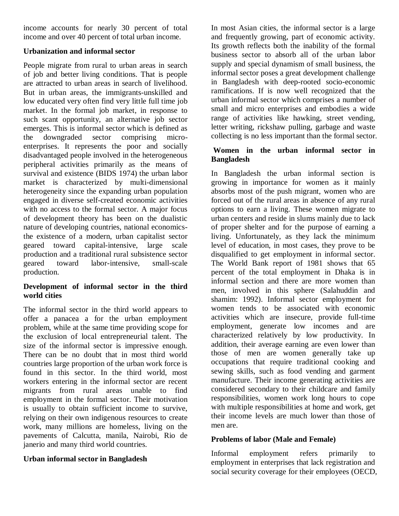income accounts for nearly 30 percent of total income and over 40 percent of total urban income.

## **Urbanization and informal sector**

People migrate from rural to urban areas in search of job and better living conditions. That is people are attracted to urban areas in search of livelihood. But in urban areas, the immigrants-unskilled and low educated very often find very little full time job market. In the formal job market, in response to such scant opportunity, an alternative job sector emerges. This is informal sector which is defined as the downgraded sector comprising microenterprises. It represents the poor and socially disadvantaged people involved in the heterogeneous peripheral activities primarily as the means of survival and existence (BIDS 1974) the urban labor market is characterized by multi-dimensional heterogeneity since the expanding urban population engaged in diverse self-created economic activities with no access to the formal sector. A major focus of development theory has been on the dualistic nature of developing countries, national economicsthe existence of a modern, urban capitalist sector geared toward capital-intensive, large scale production and a traditional rural subsistence sector geared toward labor-intensive, small-scale production.

## **Development of informal sector in the third world cities**

The informal sector in the third world appears to offer a panacea a for the urban employment problem, while at the same time providing scope for the exclusion of local entrepreneurial talent. The size of the informal sector is impressive enough. There can be no doubt that in most third world countries large proportion of the urban work force is found in this sector. In the third world, most workers entering in the informal sector are recent migrants from rural areas unable to find employment in the formal sector. Their motivation is usually to obtain sufficient income to survive, relying on their own indigenous resources to create work, many millions are homeless, living on the pavements of Calcutta, manila, Nairobi, Rio de janerio and many third world countries.

# **Urban informal sector in Bangladesh**

In most Asian cities, the informal sector is a large and frequently growing, part of economic activity. Its growth reflects both the inability of the formal business sector to absorb all of the urban labor supply and special dynamism of small business, the informal sector poses a great development challenge in Bangladesh with deep-rooted socio-economic ramifications. If is now well recognized that the urban informal sector which comprises a number of small and micro enterprises and embodies a wide range of activities like hawking, street vending, letter writing, rickshaw pulling, garbage and waste collecting is no less important than the formal sector.

## **Women in the urban informal sector in Bangladesh**

In Bangladesh the urban informal section is growing in importance for women as it mainly absorbs most of the push migrant, women who are forced out of the rural areas in absence of any rural options to earn a living. These women migrate to urban centers and reside in slums mainly due to lack of proper shelter and for the purpose of earning a living. Unfortunately, as they lack the minimum level of education, in most cases, they prove to be disqualified to get employment in informal sector. The World Bank report of 1981 shows that 65 percent of the total employment in Dhaka is in informal section and there are more women than men, involved in this sphere (Salahuddin and shamim: 1992). Informal sector employment for women tends to be associated with economic activities which are insecure, provide full-time employment, generate low incomes and are characterized relatively by low productivity. In addition, their average earning are even lower than those of men are women generally take up occupations that require traditional cooking and sewing skills, such as food vending and garment manufacture. Their income generating activities are considered secondary to their childcare and family responsibilities, women work long hours to cope with multiple responsibilities at home and work, get their income levels are much lower than those of men are.

# **Problems of labor (Male and Female)**

Informal employment refers primarily to employment in enterprises that lack registration and social security coverage for their employees (OECD,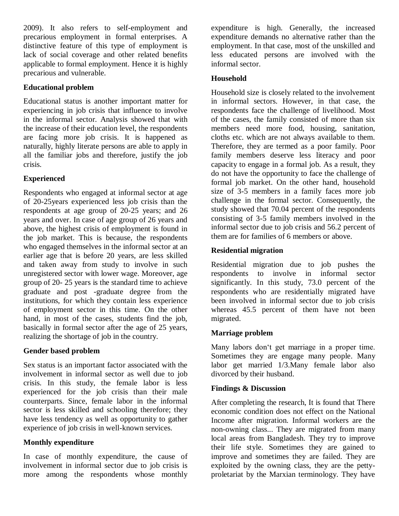2009). It also refers to self-employment and precarious employment in formal enterprises. A distinctive feature of this type of employment is lack of social coverage and other related benefits applicable to formal employment. Hence it is highly precarious and vulnerable.

## **Educational problem**

Educational status is another important matter for experiencing in job crisis that influence to involve in the informal sector. Analysis showed that with the increase of their education level, the respondents are facing more job crisis. It is happened as naturally, highly literate persons are able to apply in all the familiar jobs and therefore, justify the job crisis.

# **Experienced**

Respondents who engaged at informal sector at age of 20-25years experienced less job crisis than the respondents at age group of 20-25 years; and 26 years and over. In case of age group of 26 years and above, the highest crisis of employment is found in the job market. This is because, the respondents who engaged themselves in the informal sector at an earlier age that is before 20 years, are less skilled and taken away from study to involve in such unregistered sector with lower wage. Moreover, age group of 20- 25 years is the standard time to achieve graduate and post -graduate degree from the institutions, for which they contain less experience of employment sector in this time. On the other hand, in most of the cases, students find the job, basically in formal sector after the age of 25 years, realizing the shortage of job in the country.

## **Gender based problem**

Sex status is an important factor associated with the involvement in informal sector as well due to job crisis. In this study, the female labor is less experienced for the job crisis than their male counterparts. Since, female labor in the informal sector is less skilled and schooling therefore; they have less tendency as well as opportunity to gather experience of job crisis in well-known services.

# **Monthly expenditure**

In case of monthly expenditure, the cause of involvement in informal sector due to job crisis is more among the respondents whose monthly expenditure is high. Generally, the increased expenditure demands no alternative rather than the employment. In that case, most of the unskilled and less educated persons are involved with the informal sector.

## **Household**

Household size is closely related to the involvement in informal sectors. However, in that case, the respondents face the challenge of livelihood. Most of the cases, the family consisted of more than six members need more food, housing, sanitation, cloths etc. which are not always available to them. Therefore, they are termed as a poor family. Poor family members deserve less literacy and poor capacity to engage in a formal job. As a result, they do not have the opportunity to face the challenge of formal job market. On the other hand, household size of 3-5 members in a family faces more job challenge in the formal sector. Consequently, the study showed that 70.04 percent of the respondents consisting of 3-5 family members involved in the informal sector due to job crisis and 56.2 percent of them are for families of 6 members or above.

# **Residential migration**

Residential migration due to job pushes the respondents to involve in informal sector significantly. In this study, 73.0 percent of the respondents who are residentially migrated have been involved in informal sector due to job crisis whereas 45.5 percent of them have not been migrated.

# **Marriage problem**

Many labors don't get marriage in a proper time. Sometimes they are engage many people. Many labor get married 1/3.Many female labor also divorced by their husband.

# **Findings & Discussion**

After completing the research, It is found that There economic condition does not effect on the National Income after migration. Informal workers are the non-owning class... They are migrated from many local areas from Bangladesh. They try to improve their life style. Sometimes they are gained to improve and sometimes they are failed. They are exploited by the owning class, they are the pettyproletariat by the Marxian terminology. They have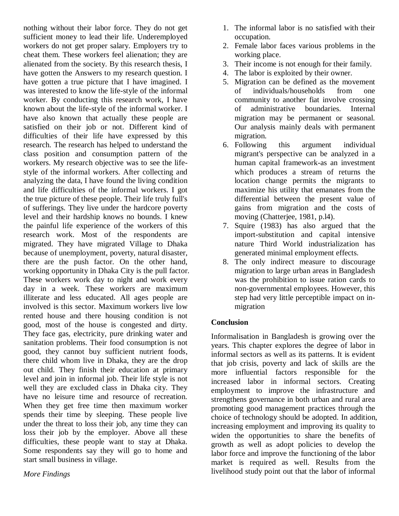nothing without their labor force. They do not get sufficient money to lead their life. Underemployed workers do not get proper salary. Employers try to cheat them. These workers feel alienation; they are alienated from the society. By this research thesis, I have gotten the Answers to my research question. I have gotten a true picture that I have imagined. I was interested to know the life-style of the informal worker. By conducting this research work, I have known about the life-style of the informal worker. I have also known that actually these people are satisfied on their job or not. Different kind of difficulties of their life have expressed by this research. The research has helped to understand the class position and consumption pattern of the workers. My research objective was to see the lifestyle of the informal workers. After collecting and analyzing the data, I have found the living condition and life difficulties of the informal workers. I got the true picture of these people. Their life truly full's of sufferings. They live under the hardcore poverty level and their hardship knows no bounds. I knew the painful life experience of the workers of this research work. Most of the respondents are migrated. They have migrated Village to Dhaka because of unemployment, poverty, natural disaster, there are the push factor. On the other hand, working opportunity in Dhaka City is the pull factor. These workers work day to night and work every day in a week. These workers are maximum illiterate and less educated. All ages people are involved is this sector. Maximum workers live low rented house and there housing condition is not good, most of the house is congested and dirty. They face gas, electricity, pure drinking water and sanitation problems. Their food consumption is not good, they cannot buy sufficient nutrient foods, there child whom live in Dhaka, they are the drop out child. They finish their education at primary level and join in informal job. Their life style is not well they are excluded class in Dhaka city. They have no leisure time and resource of recreation. When they get free time then maximum worker spends their time by sleeping. These people live under the threat to loss their job, any time they can loss their job by the employer. Above all these difficulties, these people want to stay at Dhaka. Some respondents say they will go to home and start small business in village.

*More Findings*

- 1. The informal labor is no satisfied with their occupation.
- 2. Female labor faces various problems in the working place.
- 3. Their income is not enough for their family.
- 4. The labor is exploited by their owner.
- 5. Migration can be defined as the movement of individuals/households from one community to another fiat involve crossing of administrative boundaries. Internal migration may be permanent or seasonal. Our analysis mainly deals with permanent migration.
- 6. Following this argument individual migrant's perspective can be analyzed in a human capital framework-as an investment which produces a stream of returns the location change permits the migrants to maximize his utility that emanates from the differential between the present value of gains from migration and the costs of moving (Chatterjee, 1981, p.l4).
- 7. Squire (1983) has also argued that the import-substitution and capital intensive nature Third World industrialization has generated minimal employment effects.
- 8. The only indirect measure to discourage migration to large urban areas in Bangladesh was the prohibition to issue ration cards to non-governmental employees. However, this step had very little perceptible impact on inmigration

# **Conclusion**

Informalisation in Bangladesh is growing over the years. This chapter explores the degree of labor in informal sectors as well as its patterns. It is evident that job crisis, poverty and lack of skills are the more influential factors responsible for the increased labor in informal sectors. Creating employment to improve the infrastructure and strengthens governance in both urban and rural area promoting good management practices through the choice of technology should be adopted. In addition, increasing employment and improving its quality to widen the opportunities to share the benefits of growth as well as adopt policies to develop the labor force and improve the functioning of the labor market is required as well. Results from the livelihood study point out that the labor of informal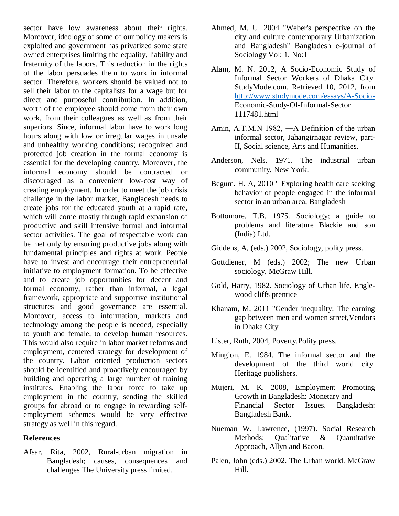sector have low awareness about their rights. Moreover, ideology of some of our policy makers is exploited and government has privatized some state owned enterprises limiting the equality, liability and fraternity of the labors. This reduction in the rights of the labor persuades them to work in informal sector. Therefore, workers should be valued not to sell their labor to the capitalists for a wage but for direct and purposeful contribution. In addition, worth of the employee should come from their own work, from their colleagues as well as from their superiors. Since, informal labor have to work long hours along with low or irregular wages in unsafe and unhealthy working conditions; recognized and protected job creation in the formal economy is essential for the developing country. Moreover, the informal economy should be contracted or discouraged as a convenient low-cost way of creating employment. In order to meet the job crisis challenge in the labor market, Bangladesh needs to create jobs for the educated youth at a rapid rate, which will come mostly through rapid expansion of productive and skill intensive formal and informal sector activities. The goal of respectable work can be met only by ensuring productive jobs along with fundamental principles and rights at work. People have to invest and encourage their entrepreneurial initiative to employment formation. To be effective and to create job opportunities for decent and formal economy, rather than informal, a legal framework, appropriate and supportive institutional structures and good governance are essential. Moreover, access to information, markets and technology among the people is needed, especially to youth and female, to develop human resources. This would also require in labor market reforms and employment, centered strategy for development of the country. Labor oriented production sectors should be identified and proactively encouraged by building and operating a large number of training institutes. Enabling the labor force to take up employment in the country, sending the skilled groups for abroad or to engage in rewarding selfemployment schemes would be very effective strategy as well in this regard.

#### **References**

Afsar, Rita, 2002, Rural-urban migration in Bangladesh; causes, consequences and challenges The University press limited.

- Ahmed, M. U. 2004 "Weber's perspective on the city and culture contemporary Urbanization and Bangladesh" Bangladesh e-journal of Sociology Vol: 1, No:1
- Alam, M. N. 2012, A Socio-Economic Study of Informal Sector Workers of Dhaka City. StudyMode.com. Retrieved 10, 2012, from <http://www.studymode.com/essays/A-Socio->Economic-Study-Of-Informal-Sector 1117481.html
- Amin, A.T.M.N 1982, ―A Definition of the urban informal sector, Jahangirnagar review, part-II, Social science, Arts and Humanities.
- Anderson, Nels. 1971. The industrial urban community, New York.
- Begum. H. A, 2010 " Exploring health care seeking behavior of people engaged in the informal sector in an urban area, Bangladesh
- Bottomore, T.B, 1975. Sociology; a guide to problems and literature Blackie and son (India) Ltd.
- Giddens, A, (eds.) 2002, Sociology, polity press.
- Gottdiener, M (eds.) 2002; The new Urban sociology, McGraw Hill.
- Gold, Harry, 1982. Sociology of Urban life, Englewood cliffs prentice
- Khanam, M, 2011 "Gender inequality: The earning gap between men and women street,Vendors in Dhaka City
- Lister, Ruth, 2004, Poverty.Polity press.
- Mingion, E. 1984. The informal sector and the development of the third world city. Heritage publishers.
- Mujeri, M. K. 2008, Employment Promoting Growth in Bangladesh: Monetary and Financial Sector Issues. Bangladesh: Bangladesh Bank.
- Nueman W. Lawrence, (1997). Social Research Methods: Qualitative & Quantitative Approach, Allyn and Bacon.
- Palen, John (eds.) 2002. The Urban world. McGraw Hill.